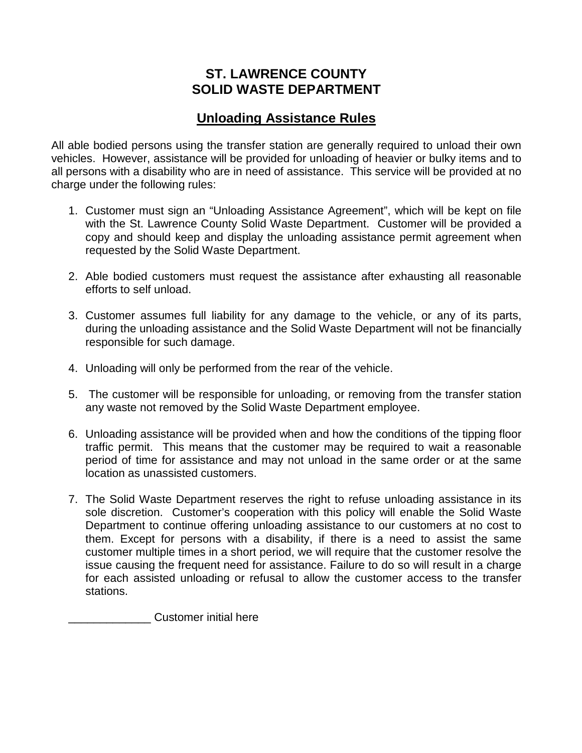## **ST. LAWRENCE COUNTY SOLID WASTE DEPARTMENT**

## **Unloading Assistance Rules**

All able bodied persons using the transfer station are generally required to unload their own vehicles. However, assistance will be provided for unloading of heavier or bulky items and to all persons with a disability who are in need of assistance. This service will be provided at no charge under the following rules:

- 1. Customer must sign an "Unloading Assistance Agreement", which will be kept on file with the St. Lawrence County Solid Waste Department. Customer will be provided a copy and should keep and display the unloading assistance permit agreement when requested by the Solid Waste Department.
- 2. Able bodied customers must request the assistance after exhausting all reasonable efforts to self unload.
- 3. Customer assumes full liability for any damage to the vehicle, or any of its parts, during the unloading assistance and the Solid Waste Department will not be financially responsible for such damage.
- 4. Unloading will only be performed from the rear of the vehicle.
- 5. The customer will be responsible for unloading, or removing from the transfer station any waste not removed by the Solid Waste Department employee.
- 6. Unloading assistance will be provided when and how the conditions of the tipping floor traffic permit. This means that the customer may be required to wait a reasonable period of time for assistance and may not unload in the same order or at the same location as unassisted customers.
- 7. The Solid Waste Department reserves the right to refuse unloading assistance in its sole discretion. Customer's cooperation with this policy will enable the Solid Waste Department to continue offering unloading assistance to our customers at no cost to them. Except for persons with a disability, if there is a need to assist the same customer multiple times in a short period, we will require that the customer resolve the issue causing the frequent need for assistance. Failure to do so will result in a charge for each assisted unloading or refusal to allow the customer access to the transfer stations.

\_\_\_\_\_\_\_\_\_\_\_\_\_ Customer initial here